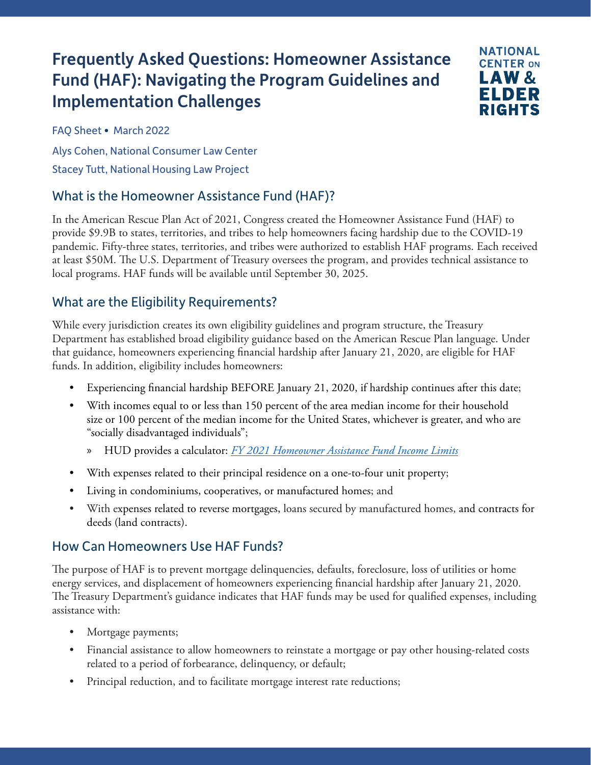# Frequently Asked Questions: Homeowner Assistance Fund (HAF): Navigating the Program Guidelines and Implementation Challenges



FAQ Sheet • March 2022

Alys Cohen, National Consumer Law Center

Stacey Tutt, National Housing Law Project

## What is the Homeowner Assistance Fund (HAF)?

In the American Rescue Plan Act of 2021, Congress created the Homeowner Assistance Fund (HAF) to provide \$9.9B to states, territories, and tribes to help homeowners facing hardship due to the COVID-19 pandemic. Fifty-three states, territories, and tribes were authorized to establish HAF programs. Each received at least \$50M. The U.S. Department of Treasury oversees the program, and provides technical assistance to local programs. HAF funds will be available until September 30, 2025.

## What are the Eligibility Requirements?

While every jurisdiction creates its own eligibility guidelines and program structure, the Treasury Department has established broad eligibility guidance based on the American Rescue Plan language. Under that guidance, homeowners experiencing financial hardship after January 21, 2020, are eligible for HAF funds. In addition, eligibility includes homeowners:

- Experiencing financial hardship BEFORE January 21, 2020, if hardship continues after this date;
- With incomes equal to or less than 150 percent of the area median income for their household size or 100 percent of the median income for the United States, whichever is greater, and who are "socially disadvantaged individuals";
	- » HUD provides a calculator: *[FY 2021 Homeowner Assistance Fund Income Limits](https://www.huduser.gov/portal/datasets/il/il2021/select_Geography_haf.odn)*
- With expenses related to their principal residence on a one-to-four unit property;
- Living in condominiums, cooperatives, or manufactured homes; and
- With expenses related to reverse mortgages, loans secured by manufactured homes, and contracts for deeds (land contracts).

## How Can Homeowners Use HAF Funds?

The purpose of HAF is to prevent mortgage delinquencies, defaults, foreclosure, loss of utilities or home energy services, and displacement of homeowners experiencing financial hardship after January 21, 2020. The Treasury Department's guidance indicates that HAF funds may be used for qualified expenses, including assistance with:

- Mortgage payments;
- Financial assistance to allow homeowners to reinstate a mortgage or pay other housing-related costs related to a period of forbearance, delinquency, or default;
- Principal reduction, and to facilitate mortgage interest rate reductions;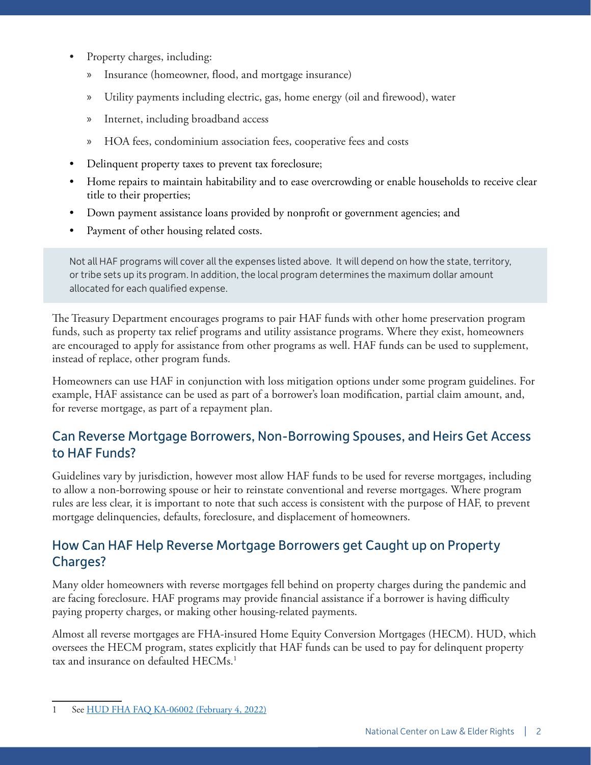- Property charges, including:
	- » Insurance (homeowner, flood, and mortgage insurance)
	- » Utility payments including electric, gas, home energy (oil and firewood), water
	- » Internet, including broadband access
	- » HOA fees, condominium association fees, cooperative fees and costs
- Delinquent property taxes to prevent tax foreclosure;
- Home repairs to maintain habitability and to ease overcrowding or enable households to receive clear title to their properties;
- Down payment assistance loans provided by nonprofit or government agencies; and
- Payment of other housing related costs.

Not all HAF programs will cover all the expenses listed above. It will depend on how the state, territory, or tribe sets up its program. In addition, the local program determines the maximum dollar amount allocated for each qualified expense.

The Treasury Department encourages programs to pair HAF funds with other home preservation program funds, such as property tax relief programs and utility assistance programs. Where they exist, homeowners are encouraged to apply for assistance from other programs as well. HAF funds can be used to supplement, instead of replace, other program funds.

Homeowners can use HAF in conjunction with loss mitigation options under some program guidelines. For example, HAF assistance can be used as part of a borrower's loan modification, partial claim amount, and, for reverse mortgage, as part of a repayment plan.

## Can Reverse Mortgage Borrowers, Non-Borrowing Spouses, and Heirs Get Access to HAF Funds?

Guidelines vary by jurisdiction, however most allow HAF funds to be used for reverse mortgages, including to allow a non-borrowing spouse or heir to reinstate conventional and reverse mortgages. Where program rules are less clear, it is important to note that such access is consistent with the purpose of HAF, to prevent mortgage delinquencies, defaults, foreclosure, and displacement of homeowners.

#### How Can HAF Help Reverse Mortgage Borrowers get Caught up on Property Charges?

Many older homeowners with reverse mortgages fell behind on property charges during the pandemic and are facing foreclosure. HAF programs may provide financial assistance if a borrower is having difficulty paying property charges, or making other housing-related payments.

Almost all reverse mortgages are FHA-insured Home Equity Conversion Mortgages (HECM). HUD, which oversees the HECM program, states explicitly that HAF funds can be used to pay for delinquent property tax and insurance on defaulted HECMs.<sup>1</sup>

<sup>1</sup> See [HUD FHA FAQ KA-06002 \(February 4, 2022\)](https://www.hud.gov/FHAFAQ)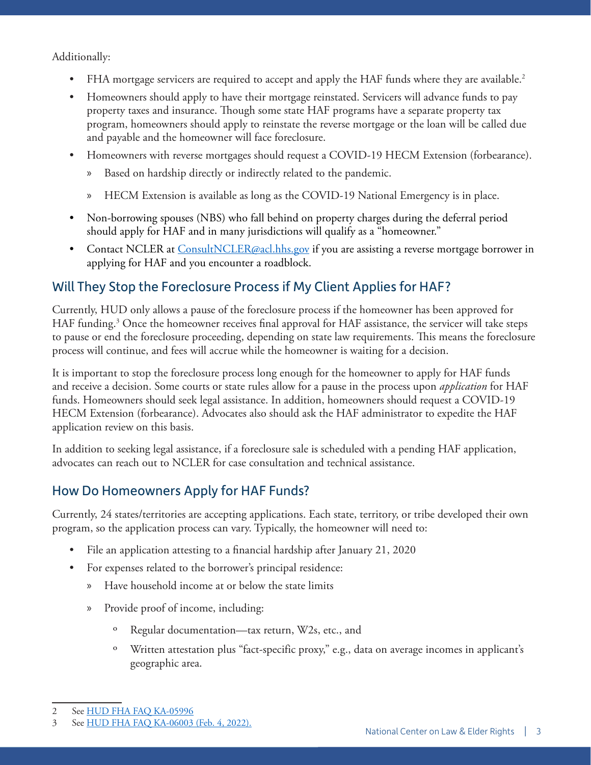Additionally:

- FHA mortgage servicers are required to accept and apply the HAF funds where they are available.<sup>2</sup>
- Homeowners should apply to have their mortgage reinstated. Servicers will advance funds to pay property taxes and insurance. Though some state HAF programs have a separate property tax program, homeowners should apply to reinstate the reverse mortgage or the loan will be called due and payable and the homeowner will face foreclosure.
- Homeowners with reverse mortgages should request a COVID-19 HECM Extension (forbearance).
	- » Based on hardship directly or indirectly related to the pandemic.
	- » HECM Extension is available as long as the COVID-19 National Emergency is in place.
- Non-borrowing spouses (NBS) who fall behind on property charges during the deferral period should apply for HAF and in many jurisdictions will qualify as a "homeowner."
- Contact NCLER at [ConsultNCLER@acl.hhs.gov](mailto:ConsultNCLER@acl.hhs.gov) if you are assisting a reverse mortgage borrower in applying for HAF and you encounter a roadblock.

#### Will They Stop the Foreclosure Process if My Client Applies for HAF?

Currently, HUD only allows a pause of the foreclosure process if the homeowner has been approved for HAF funding.3 Once the homeowner receives final approval for HAF assistance, the servicer will take steps to pause or end the foreclosure proceeding, depending on state law requirements. This means the foreclosure process will continue, and fees will accrue while the homeowner is waiting for a decision.

It is important to stop the foreclosure process long enough for the homeowner to apply for HAF funds and receive a decision. Some courts or state rules allow for a pause in the process upon *application* for HAF funds. Homeowners should seek legal assistance. In addition, homeowners should request a COVID-19 HECM Extension (forbearance). Advocates also should ask the HAF administrator to expedite the HAF application review on this basis.

In addition to seeking legal assistance, if a foreclosure sale is scheduled with a pending HAF application, advocates can reach out to NCLER for case consultation and technical assistance.

#### How Do Homeowners Apply for HAF Funds?

Currently, 24 states/territories are accepting applications. Each state, territory, or tribe developed their own program, so the application process can vary. Typically, the homeowner will need to:

- File an application attesting to a financial hardship after January 21, 2020
- For expenses related to the borrower's principal residence:
	- » Have household income at or below the state limits
	- » Provide proof of income, including:
		- º Regular documentation—tax return, W2s, etc., and
		- º Written attestation plus "fact-specific proxy," e.g., data on average incomes in applicant's geographic area.

<sup>2</sup> See [HUD FHA FAQ KA-05996](https://www.hud.gov/FHAFAQ)

<sup>3</sup> See [HUD FHA FAQ KA-06003 \(Feb. 4, 2022\).](https://www.hud.gov/FHAFAQ)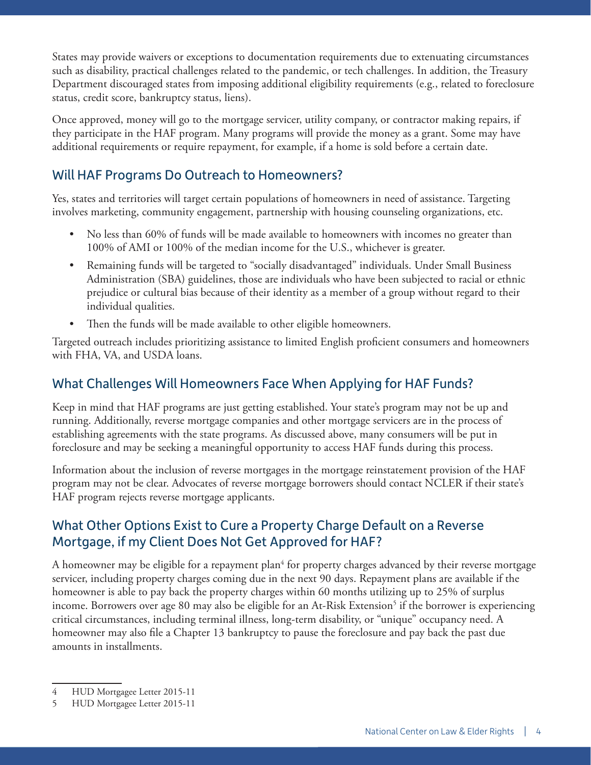States may provide waivers or exceptions to documentation requirements due to extenuating circumstances such as disability, practical challenges related to the pandemic, or tech challenges. In addition, the Treasury Department discouraged states from imposing additional eligibility requirements (e.g., related to foreclosure status, credit score, bankruptcy status, liens).

Once approved, money will go to the mortgage servicer, utility company, or contractor making repairs, if they participate in the HAF program. Many programs will provide the money as a grant. Some may have additional requirements or require repayment, for example, if a home is sold before a certain date.

### Will HAF Programs Do Outreach to Homeowners?

Yes, states and territories will target certain populations of homeowners in need of assistance. Targeting involves marketing, community engagement, partnership with housing counseling organizations, etc.

- No less than 60% of funds will be made available to homeowners with incomes no greater than 100% of AMI or 100% of the median income for the U.S., whichever is greater.
- Remaining funds will be targeted to "socially disadvantaged" individuals. Under Small Business Administration (SBA) guidelines, those are individuals who have been subjected to racial or ethnic prejudice or cultural bias because of their identity as a member of a group without regard to their individual qualities.
- Then the funds will be made available to other eligible homeowners.

Targeted outreach includes prioritizing assistance to limited English proficient consumers and homeowners with FHA, VA, and USDA loans.

#### What Challenges Will Homeowners Face When Applying for HAF Funds?

Keep in mind that HAF programs are just getting established. Your state's program may not be up and running. Additionally, reverse mortgage companies and other mortgage servicers are in the process of establishing agreements with the state programs. As discussed above, many consumers will be put in foreclosure and may be seeking a meaningful opportunity to access HAF funds during this process.

Information about the inclusion of reverse mortgages in the mortgage reinstatement provision of the HAF program may not be clear. Advocates of reverse mortgage borrowers should contact NCLER if their state's HAF program rejects reverse mortgage applicants.

#### What Other Options Exist to Cure a Property Charge Default on a Reverse Mortgage, if my Client Does Not Get Approved for HAF?

A homeowner may be eligible for a repayment plan $^4$  for property charges advanced by their reverse mortgage servicer, including property charges coming due in the next 90 days. Repayment plans are available if the homeowner is able to pay back the property charges within 60 months utilizing up to 25% of surplus income. Borrowers over age 80 may also be eligible for an At-Risk Extension<sup>5</sup> if the borrower is experiencing critical circumstances, including terminal illness, long-term disability, or "unique" occupancy need. A homeowner may also file a Chapter 13 bankruptcy to pause the foreclosure and pay back the past due amounts in installments.

<sup>4</sup> HUD Mortgagee Letter 2015-11

<sup>5</sup> HUD Mortgagee Letter 2015-11